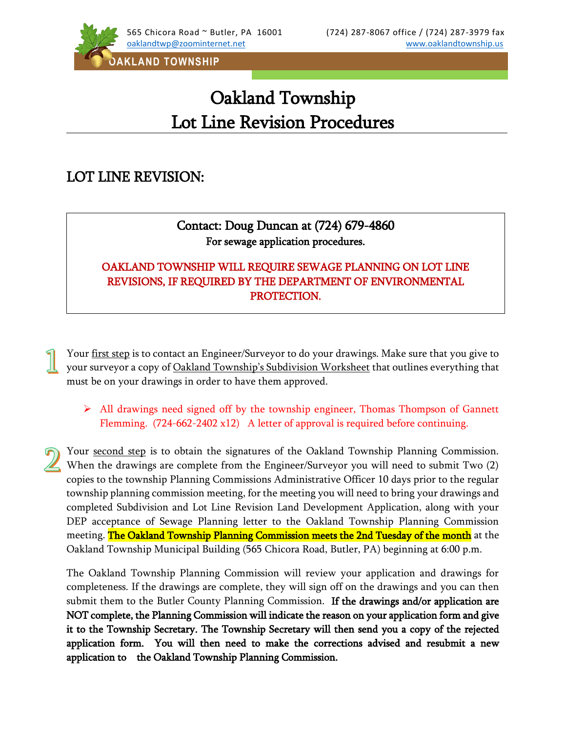

## Oakland Township Lot Line Revision Procedures

## LOT LINE REVISION:

 $\overline{\phantom{a}}$  $\overline{\phantom{a}}$  $\overline{\phantom{a}}$  $\overline{\phantom{a}}$ 

## Contact: Doug Duncan at (724) 679-4860 For sewage application procedures.

## OAKLAND TOWNSHIP WILL REQUIRE SEWAGE PLANNING ON LOT LINE REVISIONS, IF REQUIRED BY THE DEPARTMENT OF ENVIRONMENTAL PROTECTION.

Your <u>first step</u> is to contact an Engineer/Surveyor to do your drawings. Make sure that you give to your surveyor a copy of Oakland Township's Subdivision Worksheet that outlines everything that must be on your drawings in order to have them approved.

- $\triangleright$  All drawings need signed off by the township engineer, Thomas Thompson of Gannett Flemming. (724-662-2402 x12) A letter of approval is required before continuing.
- Your second step is to obtain the signatures of the Oakland Township Planning Commission. When the drawings are complete from the Engineer/Surveyor you will need to submit Two (2) copies to the township Planning Commissions Administrative Officer 10 days prior to the regular township planning commission meeting, for the meeting you will need to bring your drawings and completed Subdivision and Lot Line Revision Land Development Application, along with your DEP acceptance of Sewage Planning letter to the Oakland Township Planning Commission meeting. The Oakland Township Planning Commission meets the 2nd Tuesday of the month at the Oakland Township Municipal Building (565 Chicora Road, Butler, PA) beginning at 6:00 p.m.

The Oakland Township Planning Commission will review your application and drawings for completeness. If the drawings are complete, they will sign off on the drawings and you can then submit them to the Butler County Planning Commission. If the drawings and/or application are NOT complete, the Planning Commission will indicate the reason on your application form and give it to the Township Secretary. The Township Secretary will then send you a copy of the rejected application form. You will then need to make the corrections advised and resubmit a new application to the Oakland Township Planning Commission.